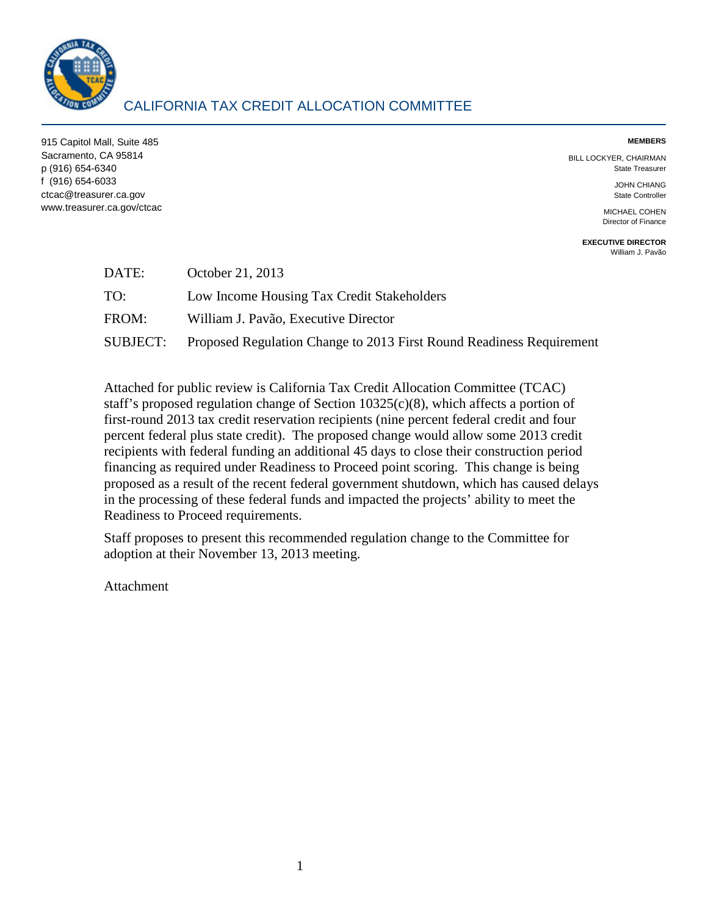

## CALIFORNIA TAX CREDIT ALLOCATION COMMITTEE

915 Capitol Mall, Suite 485 **MEMBERS**  Sacramento, CA 95814 BILL LOCKYER, CHAIRMAN p (916) 654-6340 State Treasurer f (916) 654-6033 JOHN CHIANG ctcac@treasurer.ca.gov State Controller www.treasurer.ca.gov/ctcac MICHAEL COHEN

Director of Finance

**EXECUTIVE DIRECTOR**  [William J. Pavão](mailto:wpavao@treasurer.ca.gov) 

| DATE:    | October 21, 2013                                                     |
|----------|----------------------------------------------------------------------|
| TO:      | Low Income Housing Tax Credit Stakeholders                           |
| FROM:    | William J. Pavão, Executive Director                                 |
| SUBJECT: | Proposed Regulation Change to 2013 First Round Readiness Requirement |

 Attached for public review is California Tax Credit Allocation Committee (TCAC) staff's proposed regulation change of Section 10325(c)(8), which affects a portion of first-round 2013 tax credit reservation recipients (nine percent federal credit and four percent federal plus state credit). The proposed change would allow some 2013 credit recipients with federal funding an additional 45 days to close their construction period financing as required under Readiness to Proceed point scoring. This change is being proposed as a result of the recent federal government shutdown, which has caused delays in the processing of these federal funds and impacted the projects' ability to meet the Readiness to Proceed requirements.

Staff proposes to present this recommended regulation change to the Committee for adoption at their November 13, 2013 meeting.

Attachment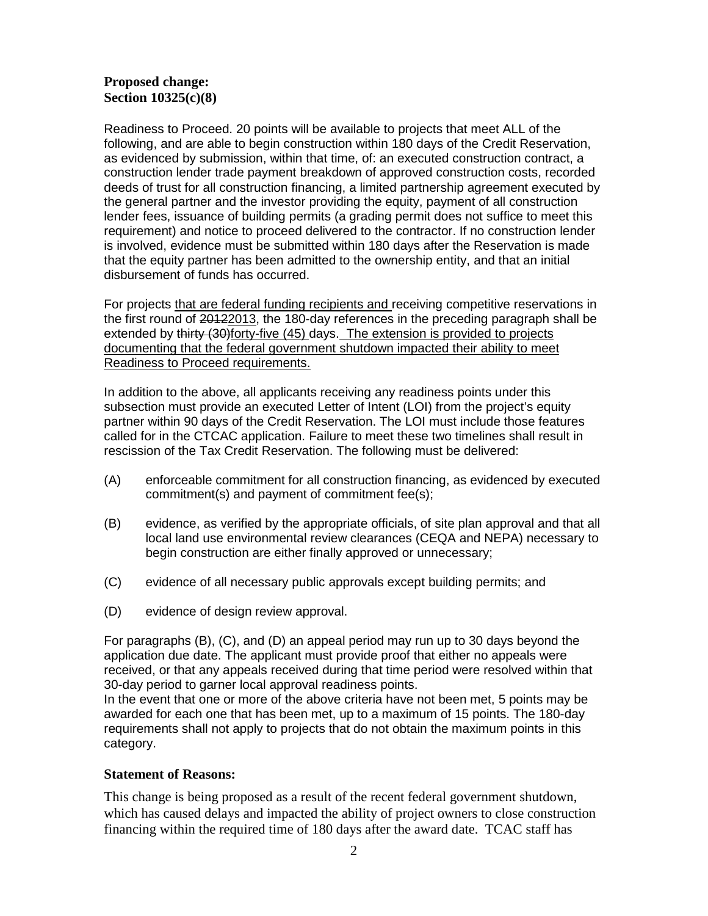## **Proposed change: Section 10325(c)(8)**

 Readiness to Proceed. 20 points will be available to projects that meet ALL of the following, and are able to begin construction within 180 days of the Credit Reservation, lender fees, issuance of building permits (a grading permit does not suffice to meet this that the equity partner has been admitted to the ownership entity, and that an initial as evidenced by submission, within that time, of: an executed construction contract, a construction lender trade payment breakdown of approved construction costs, recorded deeds of trust for all construction financing, a limited partnership agreement executed by the general partner and the investor providing the equity, payment of all construction requirement) and notice to proceed delivered to the contractor. If no construction lender is involved, evidence must be submitted within 180 days after the Reservation is made disbursement of funds has occurred.

For projects that are federal funding recipients and receiving competitive reservations in extended by thirty (30)forty-five (45) days. The extension is provided to projects documenting that the federal government shutdown impacted their ability to meet Readiness to Proceed requirements. the first round of 20122013, the 180-day references in the preceding paragraph shall be

<u>Readiness to Proceed requirements.</u><br>In addition to the above, all applicants receiving any readiness points under this subsection must provide an executed Letter of Intent (LOI) from the project's equity partner within 90 days of the Credit Reservation. The LOI must include those features called for in the CTCAC application. Failure to meet these two timelines shall result in rescission of the Tax Credit Reservation. The following must be delivered:

- commitment(s) and payment of commitment fee(s); (A) enforceable commitment for all construction financing, as evidenced by executed
- (B) evidence, as verified by the appropriate officials, of site plan approval and that all local land use environmental review clearances (CEQA and NEPA) necessary to begin construction are either finally approved or unnecessary;
- (C) evidence of all necessary public approvals except building permits; and
- (D) evidence of design review approval.

 For paragraphs (B), (C), and (D) an appeal period may run up to 30 days beyond the 30-day period to garner local approval readiness points. application due date. The applicant must provide proof that either no appeals were received, or that any appeals received during that time period were resolved within that

 In the event that one or more of the above criteria have not been met, 5 points may be awarded for each one that has been met, up to a maximum of 15 points. The 180-day requirements shall not apply to projects that do not obtain the maximum points in this category.

## **Statement of Reasons:**

 which has caused delays and impacted the ability of project owners to close construction This change is being proposed as a result of the recent federal government shutdown, financing within the required time of 180 days after the award date. TCAC staff has